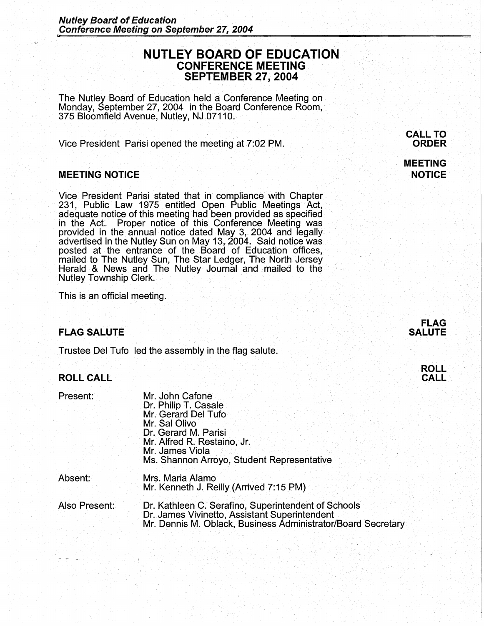# **NUTLEY BOARD OF EDUCATION** · **CONFERENCE MEETING SEPTEMBER 27, 2004**

The Nutley Board of Education held a Conference Meeting on Monday, September 27, 2004 in the Board Conference Room, 375 Bloomfield Avenue, Nutley, NJ 07110.

Vice President Parisi opened the meeting at 7:02 PM.

#### **MEETING NOTICE**

Vice President Parisi stated that in compliance with Chapter 231, Public Law 1975 entitled Open Public Meetings Act, adequate notice of this meeting had been provided as specified in the Act. Proper notice of this Conference Meeting was provided in the annual notice dated May 3, 2004 and legally advertised in the Nutley Sun on May 13, 2004. Said notice was posted at the entrance of the Board· of Education offices, mailed to The Nutley Sun, The Star Ledger, The North Jersey .<br>Herald & News and The Nutley Journal and ·mailed to the ·· Nutley Township Clerk.

This is an official meeting.

# **FLAG SALUTE**

Trustee Del Tufo led the assembly in the flag salute.

#### **ROLL CALL**

| Present: | Mr. John Cafone     |
|----------|---------------------|
|          | Dr. Philip T. Casal |
|          | Mr. Gerard Del Tu   |

| Dr. Philip T. Casale                       |
|--------------------------------------------|
| Mr. Gerard Del Tufo                        |
| Mr. Sal Olivo                              |
| Dr. Gerard M. Parisi                       |
| Mr. Alfred R. Restaino, Jr.                |
| Mr. James Viola                            |
| Ms. Shannon Arroyo, Student Representative |
|                                            |

#### Absent: Mrs. Maria Alamo Mr. Kenneth J. Reilly (Arrived 7:15 PM)

Also Present: Dr. Kathleen C. Serafino, Superintendent of Schools Dr. James Vivinetto, Assistant Superintendent . Mr. Dennis M. Oblack, Business Administrator/Board Secretary

**CALL TO ORDER** 

### **MEETING NOTICE**





*I*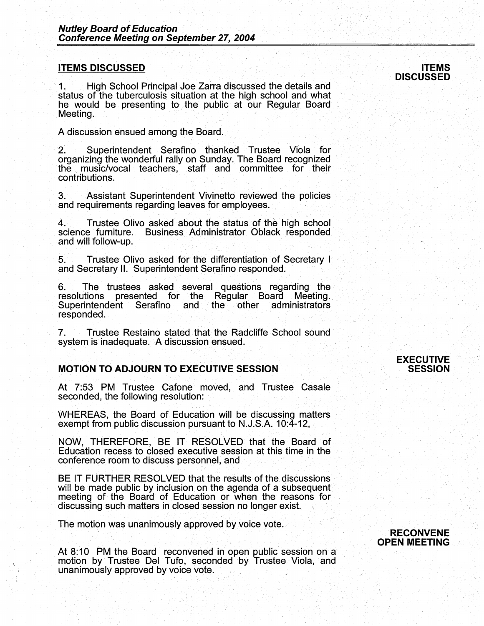#### **ITEMS DISCUSSED**

1: High School Principal Joe Zarra discussed the details and status of the tuberculosis situation at the high school and what he would be presenting to the public at our Regular Board Meeting.

A discussion ensued among the Board.

2. Superintendent Serafino thanked Trustee Viola for organizing the wonderful rally on Sunday. The Board recognized the music/vocal teachers, staff and committee for their contributions.

3. Assistant Superintendent Vivinetto reviewed the policies and requirements regarding leaves for employees.

4. Trustee Olivo asked about the status of the high school science furniture. Business Administrator Oblack responded and will follow-up.

5. Trustee Olivo asked for the differentiation of Secretary I and Secretary II. Superintendent Serafino responded. ·

6. The trustees asked several questions regarding the resolutions presented for the Regular Board Meeting.<br>Superintendent Serafino and the other administrators responded.

7. Trustee Restaino stated that the Radcliffe School sound system is inadequate. A discussion ensued.

#### **MOTION TO ADJOURN TO EXECUTIVE SESSION**

At 7:53 PM Trustee Cafone moved, and Trustee Casale seconded, the following resolution:

WHEREAS, the Board of Education will be discussing matters exempt from public discussion pursuant to N.J.S.A. 10:4-12,

NOW, THEREFORE, BE IT. RESOLVED that the Board of Education recess to closed executive session at this time in the conference room to discuss personnel, and

BE IT FURTHER RESOLVED that the results of the discussions will be made public by inclusion on the agenda of a subsequent will be made public by inclusion on the agency in the reasons for discussing such matters in closed session no longer exist. <sup>1</sup>

The motion was unanimously approved by voice vote.

At 8:10 PM the Board reconvened in open public session on a motion by Trustee Del Tufo, seconded by Trustee Viola, and unanimously approved by voice vote.

#### **EXECUTIVE SESSION**



#### **ITEMS DISCUSSED**